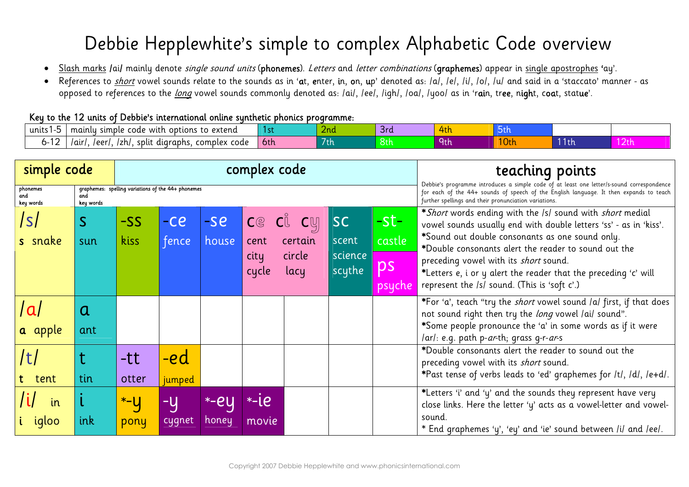## Debbie Hepplewhite's simple to complex Alphabetic Code overview

- · Slash marks /ai/ mainly denote *single sound units* (phonemes). Letters and letter combinations (graphemes) appear in single apostrophes 'ay'.
- References to short vowel sounds relate to the sounds as in 'at, enter, in, on, up' denoted as: /a/, /e/, /i/, /o/, /u/ and said in a 'staccato' manner as opposed to references to the long vowel sounds commonly denoted as: /ai/, /ee/, /igh/, /oa/, /yoo/ as in 'rain, tree, night, coat, statue'.

## Key to the 12 units of Debbie's international online synthetic phonics programme:

| units | extend<br>code<br>mainly<br>simple<br>options<br>with<br>U     |            | ∠nd | 3rd |                 |      |    |           |
|-------|----------------------------------------------------------------|------------|-----|-----|-----------------|------|----|-----------|
|       | aur /<br>complex<br>/zh<br>leer'<br>split<br>code<br>diaraphs. | <b>bth</b> | 'th | ୪th | ru <del>L</del> | 10th | th | - 4 L L L |

| simple code                  |                  |                                                    |                |                       | complex code                   |                                             | teaching points                                                                                                                                                                                                                              |                                       |                                                                                                                                                                                                                                                                                                                                                                                                      |
|------------------------------|------------------|----------------------------------------------------|----------------|-----------------------|--------------------------------|---------------------------------------------|----------------------------------------------------------------------------------------------------------------------------------------------------------------------------------------------------------------------------------------------|---------------------------------------|------------------------------------------------------------------------------------------------------------------------------------------------------------------------------------------------------------------------------------------------------------------------------------------------------------------------------------------------------------------------------------------------------|
| phonemes<br>and<br>key words | and<br>key words | graphemes: spelling variations of the 44+ phonemes |                |                       |                                |                                             | Debbie's programme introduces a simple code of at least one letter/s-sound correspondence<br>for each of the 44+ sounds of speech of the English language. It then expands to teach<br>further spellings and their pronunciation variations. |                                       |                                                                                                                                                                                                                                                                                                                                                                                                      |
| s snake                      | S<br>sun         | $-SS$<br>kiss                                      | $-ce$<br>fence | $-se$<br>house        | Ce Cu<br>cent<br>city<br>cycle | $\mathsf{c}$ y<br>certain<br>circle<br>lacy | <b>SC</b><br>scent<br>science<br>scythe                                                                                                                                                                                                      | $-$ st $-$<br>castle<br>ps<br>psychel | *Short words ending with the /s/ sound with short medial<br>vowel sounds usually end with double letters 'ss' - as in 'kiss'.<br>*Sound out double consonants as one sound only.<br>*Double consonants alert the reader to sound out the<br>preceding vowel with its short sound.<br>*Letters e, i or y alert the reader that the preceding 'c' will<br>represent the /s/ sound. (This is 'soft c'.) |
| l al<br>a apple              | a<br>ant         |                                                    |                |                       |                                |                                             |                                                                                                                                                                                                                                              |                                       | *For 'a', teach "try the <i>short</i> vowel sound /a/ first, if that does<br>not sound right then try the long vowel /ai/ sound".<br>*Some people pronounce the 'a' in some words as if it were<br>/ar/: e.g. path p- <i>ar</i> -th; grass g-r- <i>ar</i> -s                                                                                                                                         |
| tent                         | tin              | -tt<br>otter                                       | -ed<br>jumped  |                       |                                |                                             |                                                                                                                                                                                                                                              |                                       | *Double consonants alert the reader to sound out the<br>preceding vowel with its short sound.<br>*Past tense of verbs leads to 'ed' graphemes for /t/, /d/, /e+d/.                                                                                                                                                                                                                                   |
| in<br>iqloo                  | ink              | $*$ - $U$<br>pony                                  | -y<br>cygnet   | *-eu<br><u>Ihoney</u> | $-1e$<br>movie'                |                                             |                                                                                                                                                                                                                                              |                                       | *Letters 'i' and 'y' and the sounds they represent have very<br>close links. Here the letter 'y' acts as a vowel-letter and vowel-<br>sound.<br>* End graphemes 'y', 'ey' and 'ie' sound between /i/ and /ee/.                                                                                                                                                                                       |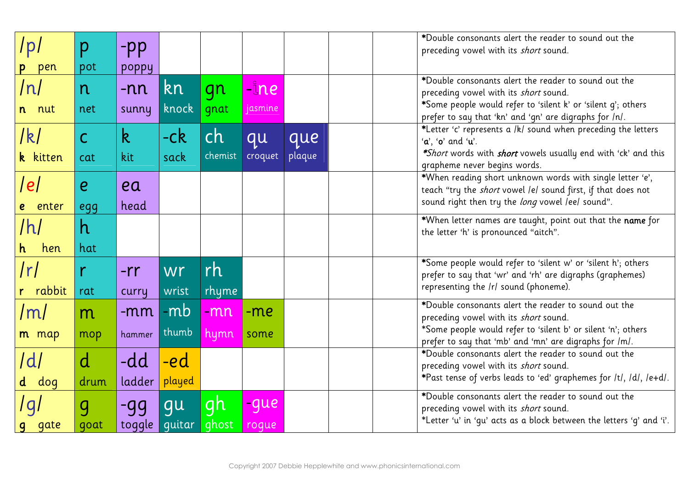| /p/      | p                |              |        |         |             |        | *Double consonants alert the reader to sound out the                                                                    |
|----------|------------------|--------------|--------|---------|-------------|--------|-------------------------------------------------------------------------------------------------------------------------|
|          |                  | $-pp$        |        |         |             |        | preceding vowel with its short sound.                                                                                   |
| pen      | pot              | poppy        |        |         |             |        |                                                                                                                         |
| /n/      | n                | $-nn$        | kn     | gn      | <b>Line</b> |        | *Double consonants alert the reader to sound out the<br>preceding vowel with its short sound.                           |
| n nut    | net              | sunny        | knock  | gnat    | jasmine     |        | *Some people would refer to 'silent k' or 'silent q'; others                                                            |
|          |                  |              |        |         |             |        | prefer to say that 'kn' and 'gn' are digraphs for /n/.                                                                  |
| /k/      | $\overline{C}$   | $\mathsf{k}$ | $-ck$  | ch      | qu          | que    | *Letter 'c' represents a /k/ sound when preceding the letters<br>$'a'$ , 'o' and 'u'.                                   |
| k kitten | cat              | kit          | sack   | chemist | croquet     | plaque | <i>*Short</i> words with <i>short</i> vowels usually end with 'ck' and this                                             |
|          |                  |              |        |         |             |        | grapheme never begins words.                                                                                            |
| e        | $\boldsymbol{e}$ | ea           |        |         |             |        | *When reading short unknown words with single letter 'e',                                                               |
|          |                  |              |        |         |             |        | teach "try the <i>short</i> vowel /e/ sound first, if that does not<br>sound right then try the long vowel /ee/ sound". |
| enter    | egg              | head         |        |         |             |        |                                                                                                                         |
| /h/      | h                |              |        |         |             |        | *When letter names are taught, point out that the name for<br>the letter 'h' is pronounced "aitch".                     |
| hen      | hat              |              |        |         |             |        |                                                                                                                         |
| /r/      |                  | $-rr$        | wr     | rh      |             |        | *Some people would refer to 'silent w' or 'silent h'; others                                                            |
|          |                  |              |        |         |             |        | prefer to say that 'wr' and 'rh' are digraphs (graphemes)<br>representing the /r/ sound (phoneme).                      |
| r rabbit | rat              | curry        | wrist  | rhyme   |             |        |                                                                                                                         |
| /m/      | m                | $-mm$        | -mb    | -mn     | $-me$       |        | *Double consonants alert the reader to sound out the<br>preceding vowel with its short sound.                           |
| m map    | mop              | hammer       | thumb  | hymn    | some        |        | *Some people would refer to 'silent b' or silent 'n'; others                                                            |
|          |                  |              |        |         |             |        | prefer to say that 'mb' and 'mn' are digraphs for /m/.                                                                  |
| /d       | $\mathsf{d}$     | -dd          | -ed    |         |             |        | *Double consonants alert the reader to sound out the<br>preceding vowel with its short sound.                           |
|          |                  |              |        |         |             |        | *Past tense of verbs leads to 'ed' graphemes for /t/, /d/, /e+d/.                                                       |
| d dog    | drum             | ladder       | played |         |             |        | *Double consonants alert the reader to sound out the                                                                    |
| 191      | $\overline{g}$   | $-gg$        | gu     | gh      | -que        |        | preceding vowel with its short sound.                                                                                   |
| g gate   | qoat             | to ggle      | guitar | ghost   | roque       |        | *Letter 'u' in 'gu' acts as a block between the letters 'g' and 'i'.                                                    |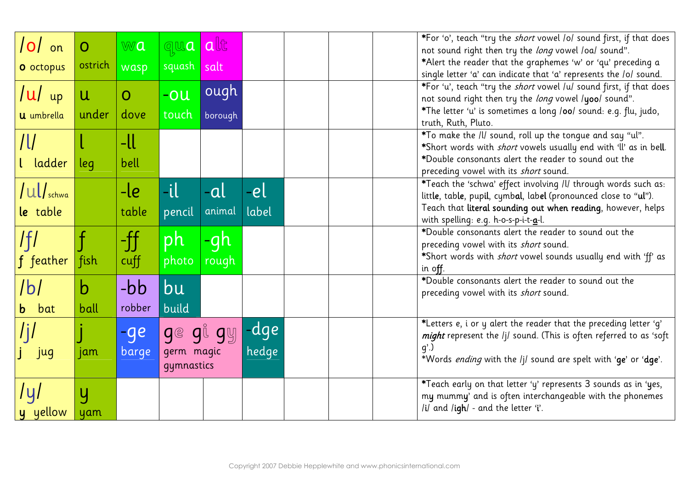| $ 0 $ on<br><b>O</b> octopus               | $\overline{O}$<br>ostrich | wa<br>wasp             | qua<br>squash salt                | alt             |               |  | *For 'o', teach "try the short vowel /o/ sound first, if that does<br>not sound right then try the long vowel /oa/ sound".<br>*Alert the reader that the graphemes 'w' or 'qu' preceding a<br>single letter 'a' can indicate that 'a' represents the /o/ sound. |
|--------------------------------------------|---------------------------|------------------------|-----------------------------------|-----------------|---------------|--|-----------------------------------------------------------------------------------------------------------------------------------------------------------------------------------------------------------------------------------------------------------------|
| $ u $ up<br><b>U</b> umbrella              | $\mathsf{u}$<br>under     | $\overline{O}$<br>dove | -ou<br>touch                      | ough<br>borough |               |  | *For 'u', teach "try the short vowel /u/ sound first, if that does<br>not sound right then try the long vowel /yoo/ sound".<br>*The letter 'u' is sometimes a long /00/ sound: e.g. flu, judo,<br>truth, Ruth, Pluto.                                           |
| /U<br>ladder                               | leg                       | -ll<br>bell            |                                   |                 |               |  | *To make the /l/ sound, roll up the tongue and say "ul".<br>*Short words with <i>short</i> vowels usually end with 'll' as in be <b>ll</b> .<br>*Double consonants alert the reader to sound out the<br>preceding vowel with its short sound.                   |
| $\vert \mathsf{ul}\vert$ schwa<br>le table |                           | $-le$<br>table         | $-i$ l<br>pencil                  | -al<br>animal   | -el<br>label  |  | *Teach the 'schwa' effect involving /l/ through words such as:<br>little, table, pupil, cymbal, label (pronounced close to "ul").<br>Teach that literal sounding out when reading, however, helps<br>with spelling: e.g. h-o-s-p-i-t-a-l.                       |
| $f$ $feather$                              | fish                      | $-\int\int$<br>cuff    | ph<br>photo                       | Jh<br>rough     |               |  | *Double consonants alert the reader to sound out the<br>preceding vowel with its short sound.<br>*Short words with short vowel sounds usually end with 'ff' as<br>in off.                                                                                       |
| lbl<br><b>b</b> bat                        | b<br>ball                 | -bb<br>robber          | bu<br>build                       |                 |               |  | *Double consonants alert the reader to sound out the<br>preceding vowel with its short sound.                                                                                                                                                                   |
| /j/<br>jug                                 | jam                       | -ge<br>barge           | $g$ e<br>germ magic<br>gymnastics | gi gy           | -dge<br>hedge |  | *Letters e, i or y alert the reader that the preceding letter 'g'<br>might represent the /j/ sound. (This is often referred to as 'soft<br>$q$ '.)<br>*Words ending with the /j/ sound are spelt with 'ge' or 'dge'.                                            |
| /y/<br>y yellow                            | Y<br>yam                  |                        |                                   |                 |               |  | *Teach early on that letter 'y' represents 3 sounds as in 'yes,<br>my mummy' and is often interchangeable with the phonemes<br>/i/ and /igh/ - and the letter 'i'.                                                                                              |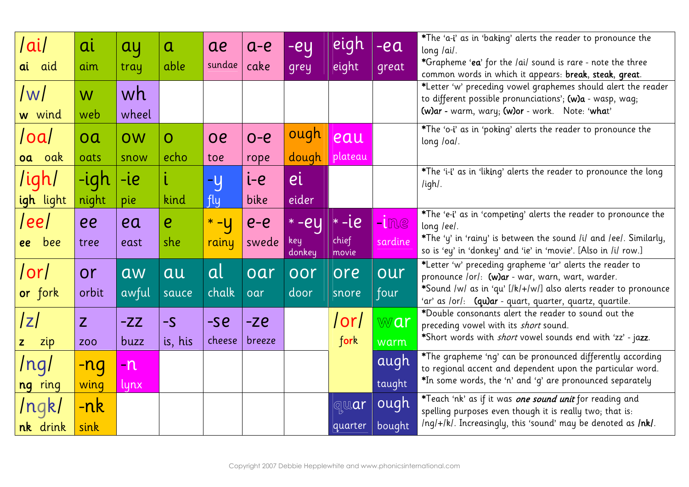| ai                  | ai         | ay        | $\mathbf a$      | ae      | $a-e$   | $-eq$         | eigh                                                | $-ea$   | *The 'a-i' as in 'baking' alerts the reader to pronounce the<br>long /ai/.                                                          |
|---------------------|------------|-----------|------------------|---------|---------|---------------|-----------------------------------------------------|---------|-------------------------------------------------------------------------------------------------------------------------------------|
| ai aid              | aim        | tray      | able             | sundae  | cake    | grey          | eight                                               | great   | *Grapheme 'ea' for the /ai/ sound is rare - note the three<br>common words in which it appears: break, steak, great.                |
| $\vert W \vert$     | W          | wh        |                  |         |         |               |                                                     |         | *Letter 'w' preceding vowel graphemes should alert the reader<br>to different possible pronunciations'; (w)a - wasp, wag;           |
| w wind              | web        | wheel     |                  |         |         |               |                                                     |         | (w)ar - warm, wary; (w)or - work. Note: 'what'                                                                                      |
| /oa/                | oa         | <b>OW</b> | $\overline{O}$   | oe      | $O - e$ | ough          | eau                                                 |         | *The 'o-i' as in 'poking' alerts the reader to pronounce the<br>long /oa/.                                                          |
| oak<br>oa           | oats       | snow      | echo             | toe     | rope    | dough         | plateau                                             |         |                                                                                                                                     |
| /igh/               | -igh       | $-i$ e    |                  | $-y$    | ie      | ei            |                                                     |         | *The 'i-i' as in 'liking' alerts the reader to pronounce the long<br>/igh/.                                                         |
| igh light           | night      | pie       | kind             | fly     | bike    | eider         |                                                     |         |                                                                                                                                     |
| ee                  | ee         | ea        | $\boldsymbol{e}$ | $* - y$ | $e-e$   | $* -ey$       | $\overline{\phantom{a}}$ + $\overline{\phantom{a}}$ | $-lme$  | *The 'e-i' as in 'competing' alerts the reader to pronounce the<br>long /ee/.                                                       |
| ee bee              | tree       | east      | she              | rainy   | swede   | key<br>donkey | chief<br>movie                                      | sardine | *The 'y' in 'rainy' is between the sound /i/ and /ee/. Similarly,<br>so is 'ey' in 'donkey' and 'ie' in 'movie'. [Also in /i/ row.] |
| or                  | or         | aw        | au               | al      | oar     | <b>OOT</b>    | ore                                                 | our     | *Letter 'w' preceding grapheme 'ar' alerts the reader to<br>pronounce /or/: (w)ar - war, warn, wart, warder.                        |
| or fork             | orbit      | awful     | sauce            | chalk   | loar    | door          | snore                                               | four    | *Sound /w/ as in 'qu' [/k/+/w/] also alerts reader to pronounce<br>'ar' as /or/: (qu)ar - quart, quarter, quartz, quartile.         |
| z                   | Z          | $-ZZ$     | $-S$             | $-5e$   | $-Ze$   |               | /or/                                                | war     | *Double consonants alert the reader to sound out the<br>preceding vowel with its short sound.                                       |
| zip<br>$\mathbf{Z}$ | <b>ZOO</b> | buzz      | is, his          | cheese  | breeze  |               | fork                                                | warm    | *Short words with <i>short</i> vowel sounds end with 'zz' - jazz.                                                                   |
| /ng/                | -ng        | $-n$      |                  |         |         |               |                                                     | augh    | *The grapheme 'ng' can be pronounced differently according<br>to regional accent and dependent upon the particular word.            |
| ng ring             | wing       | lynx      |                  |         |         |               |                                                     | taught  | *In some words, the 'n' and 'q' are pronounced separately                                                                           |
| /ngk/               | $-nk$      |           |                  |         |         |               | quar                                                | ough    | *Teach 'nk' as if it was one sound unit for reading and<br>spelling purposes even though it is really two; that is:                 |
| nk drink            | sink       |           |                  |         |         |               | quarter                                             | bought  | /ng/+/k/. Increasingly, this 'sound' may be denoted as /nk/.                                                                        |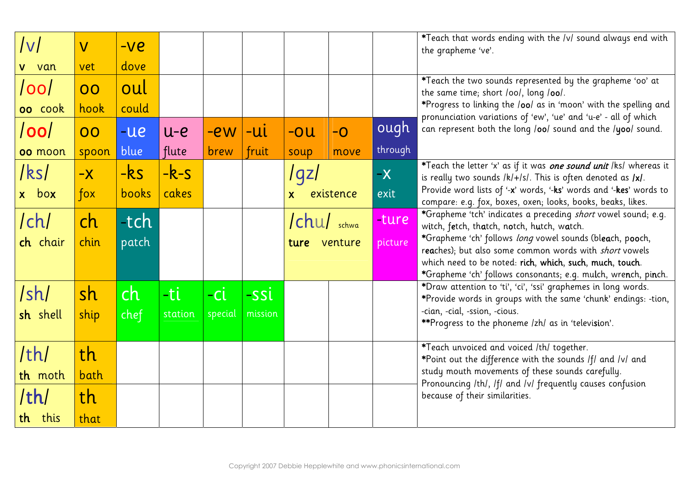| $ {\sf v} $    | $\overline{\mathsf{V}}$ | $-ve$ |         |         |         |                           |      |         | *Teach that words ending with the /v/ sound always end with<br>the grapheme 've'.                                                      |  |  |
|----------------|-------------------------|-------|---------|---------|---------|---------------------------|------|---------|----------------------------------------------------------------------------------------------------------------------------------------|--|--|
| van            | vet                     | dove  |         |         |         |                           |      |         |                                                                                                                                        |  |  |
| <u>  OO  </u>  | 00                      | oul   |         |         |         |                           |      |         | *Teach the two sounds represented by the grapheme 'oo' at<br>the same time; short /oo/, long /oo/.                                     |  |  |
| oo cook        | hook                    | could |         |         |         |                           |      |         | *Progress to linking the /00/ as in 'moon' with the spelling and<br>pronunciation variations of 'ew', 'ue' and 'u-e' - all of which    |  |  |
| /00            | 00                      | $-ue$ | $u-e$   | -ew     | $-UL$   | $-0u$                     | $-O$ | ough    | can represent both the long /oo/ sound and the /yoo/ sound.                                                                            |  |  |
| <b>00 moon</b> | spoon                   | blue  | flute   | brew    | fruit   | soup                      | move | through |                                                                                                                                        |  |  |
| /ks/           | $-X$                    | $-ks$ | $-k-s$  |         |         | l gzl                     |      | $-X$    | *Teach the letter 'x' as if it was one sound unit /ks/ whereas it<br>is really two sounds $ k + s $ . This is often denoted as $ x $ . |  |  |
| x box          | $f$ ox                  | books | cakes   |         |         | existence<br>$\mathsf{X}$ |      | exit    | Provide word lists of '-x' words, '-ks' words and '-kes' words to<br>compare: e.g. fox, boxes, oxen; looks, books, beaks, likes.       |  |  |
| /ch/           | ch                      | -tch  |         |         |         | chu/ schwa                |      | -ture   | *Grapheme 'tch' indicates a preceding short vowel sound; e.g.<br>witch, fetch, thatch, notch, hutch, watch.                            |  |  |
| ch chair       | chin                    | patch |         |         |         | venture<br>ture           |      | picture | *Grapheme 'ch' follows long vowel sounds (bleach, pooch,<br>reaches); but also some common words with short vowels                     |  |  |
|                |                         |       |         |         |         |                           |      |         | which need to be noted: rich, which, such, much, touch.<br>*Grapheme 'ch' follows consonants; e.g. mulch, wrench, pinch.               |  |  |
| /sh/           | sh                      | ch    | -ti     | -ci     | -ssi    |                           |      |         | *Draw attention to 'ti', 'ci', 'ssi' graphemes in long words.<br>*Provide words in groups with the same 'chunk' endings: -tion,        |  |  |
| sh shell       | ship                    | chef  | station | special | mission |                           |      |         | -cian, -cial, -ssion, -cious.                                                                                                          |  |  |
|                |                         |       |         |         |         |                           |      |         | **Progress to the phoneme /zh/ as in 'television'.                                                                                     |  |  |
| /th/           | th                      |       |         |         |         |                           |      |         | *Teach unvoiced and voiced /th/ together.<br>*Point out the difference with the sounds IfI and IvI and                                 |  |  |
| th moth        | bath                    |       |         |         |         |                           |      |         | study mouth movements of these sounds carefully.                                                                                       |  |  |
| /th/           | th                      |       |         |         |         |                           |      |         | Pronouncing /th/, /f/ and /v/ frequently causes confusion<br>because of their similarities.                                            |  |  |
| th this        | that                    |       |         |         |         |                           |      |         |                                                                                                                                        |  |  |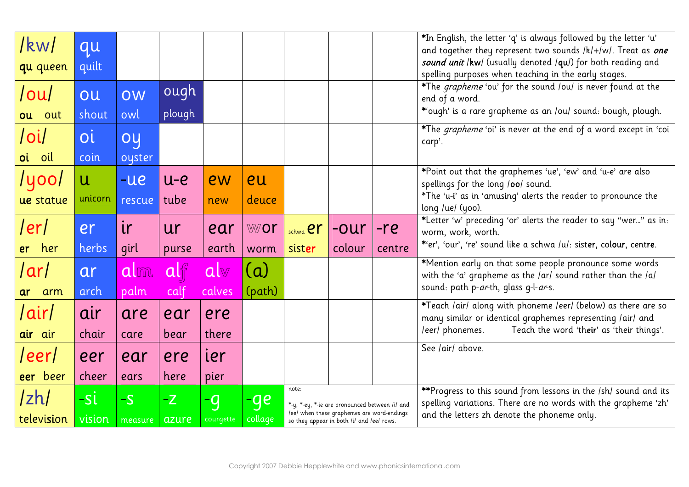| /kw/                     | qu           |         |           |           |         |                                                                                                                                           |        |        | *In English, the letter 'q' is always followed by the letter 'u'<br>and together they represent two sounds /k/+/w/. Treat as one  |
|--------------------------|--------------|---------|-----------|-----------|---------|-------------------------------------------------------------------------------------------------------------------------------------------|--------|--------|-----------------------------------------------------------------------------------------------------------------------------------|
| qu queen                 | quilt        |         |           |           |         |                                                                                                                                           |        |        | sound unit /kw/ (usually denoted /qu/) for both reading and                                                                       |
|                          |              |         |           |           |         |                                                                                                                                           |        |        | spelling purposes when teaching in the early stages.                                                                              |
| /ou/                     | ou           | OW      | ough      |           |         |                                                                                                                                           |        |        | *The grapheme 'ou' for the sound /ou/ is never found at the<br>end of a word.                                                     |
| ou out                   | shout        | owl     | plough    |           |         |                                                                                                                                           |        |        | *'ough' is a rare grapheme as an /ou/ sound: bough, plough.                                                                       |
| $\overline{\phantom{a}}$ | <b>O</b> i   | oy      |           |           |         |                                                                                                                                           |        |        | *The <i>grapheme</i> 'oi' is never at the end of a word except in 'coi<br>carp'.                                                  |
| oi oil                   | coin         | oyster  |           |           |         |                                                                                                                                           |        |        |                                                                                                                                   |
| /yoo/                    | $\mathsf{u}$ | $-ue$   | $u-e$     | ew        | eu      |                                                                                                                                           |        |        | *Point out that the graphemes 'ue', 'ew' and 'u-e' are also                                                                       |
|                          |              |         |           |           |         |                                                                                                                                           |        |        | spellings for the long /00/ sound.<br>*The 'u-i' as in 'amusing' alerts the reader to pronounce the                               |
| ue statue                | unicorn      | rescue  | tube      | new       | deuce   |                                                                                                                                           |        |        | long /ue/ (yoo).                                                                                                                  |
| /er/                     | er           | ir      | <b>ur</b> | ear       | wor     | schwa <b>er</b>                                                                                                                           | $-0ur$ | $-re$  | *Letter 'w' preceding 'or' alerts the reader to say "wer" as in:<br>worm, work, worth.                                            |
| er her                   | herbs        | girl    | purse     | earth     | worm    | sister                                                                                                                                    | colour | centre | *'er', 'our', 're' sound like a schwa /u/: sister, colour, centre.                                                                |
| /ar/                     | ar           | alm     | alf       | alv       | (a)     |                                                                                                                                           |        |        | *Mention early on that some people pronounce some words<br>with the 'a' grapheme as the /ar/ sound rather than the /a/            |
| ar arm                   | arch         | palm    | calf      | calves    | (path)  |                                                                                                                                           |        |        | sound: path p-ar-th, glass g-l-ar-s.                                                                                              |
|                          |              |         |           |           |         |                                                                                                                                           |        |        | *Teach /air/ along with phoneme /eer/ (below) as there are so                                                                     |
| <u> air</u>              | air          | are     | ear       | ere       |         |                                                                                                                                           |        |        | many similar or identical graphemes representing /air/ and                                                                        |
| air air                  | chair        | care    | bear      | there     |         |                                                                                                                                           |        |        | Teach the word 'their' as 'their things'.<br>/eer/ phonemes.                                                                      |
| TeerT                    | eer          | ear     | ere       | ier       |         |                                                                                                                                           |        |        | See /air/ above.                                                                                                                  |
| eer beer                 | cheer        | ears    | here      | pier      |         |                                                                                                                                           |        |        |                                                                                                                                   |
| /zh                      | -si          | $-S$    | $-Z$      | -9        | ge      | note:                                                                                                                                     |        |        | **Progress to this sound from lessons in the /sh/ sound and its<br>spelling variations. There are no words with the grapheme 'zh' |
| television               | vision       | measure | azure     | courgette | collage | *-y, *-ey, *-ie are pronounced between /i/ and<br>leel when these graphemes are word-endings<br>so they appear in both /i/ and /ee/ rows. |        |        | and the letters zh denote the phoneme only.                                                                                       |